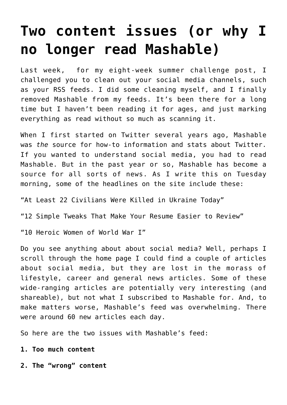## **[Two content issues \(or why I](https://deborahbrody.com/2014/07/two-content-issues-or-why-i-no-longer-read-mashable/) [no longer read Mashable\)](https://deborahbrody.com/2014/07/two-content-issues-or-why-i-no-longer-read-mashable/)**

Last week, for my eight-week summer challenge post, I [challenged you to clean out your social media channels,](http://deborahbrody.com/2014/07/summer-challenge-3-clean-up-your-social-media-act/) such as your RSS feeds. I did some cleaning myself, and I finally removed Mashable from my feeds. It's been there for a long time but I haven't been reading it for ages, and just marking everything as read without so much as scanning it.

When I first started on Twitter several years ago, [Mashable](http://mashable.com/) was *the* source for how-to information and stats about Twitter. If you wanted to understand social media, you had to read Mashable. But in the past year or so, Mashable has become a source for all sorts of news. As I write this on Tuesday morning, some of the headlines on the site include these:

"At Least 22 Civilians Were Killed in Ukraine Today"

"12 Simple Tweaks That Make Your Resume Easier to Review"

"10 Heroic Women of World War I"

Do you see anything about about social media? Well, perhaps I scroll through the home page I could find a couple of articles about social media, but they are lost in the morass of lifestyle, career and general news articles. Some of these wide-ranging articles are potentially very interesting (and shareable), but not what I subscribed to Mashable for. And, to make matters worse, Mashable's feed was overwhelming. There were around 60 new articles each day.

So here are the two issues with Mashable's feed:

**1. Too much content**

**2. The "wrong" content**